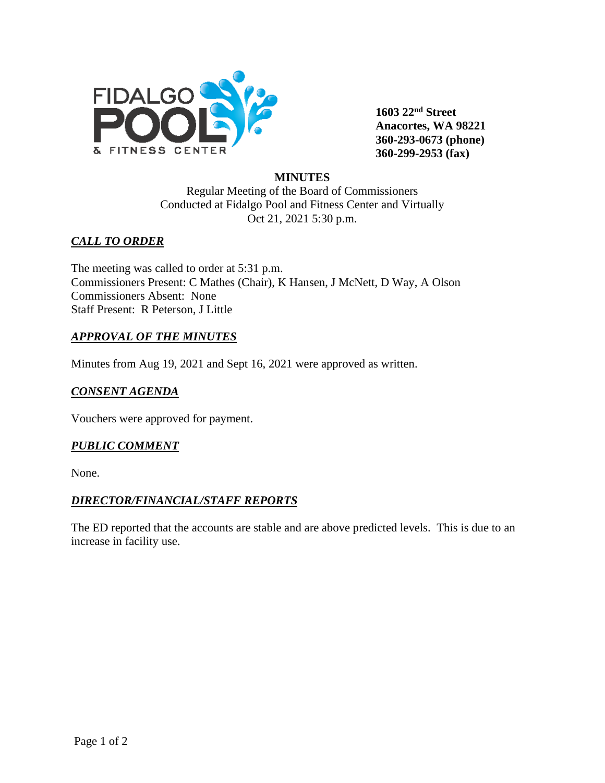

**1603 22nd Street Anacortes, WA 98221 360-293-0673 (phone) 360-299-2953 (fax)**

# **MINUTES**

Regular Meeting of the Board of Commissioners Conducted at Fidalgo Pool and Fitness Center and Virtually Oct 21, 2021 5:30 p.m.

## *CALL TO ORDER*

The meeting was called to order at 5:31 p.m. Commissioners Present: C Mathes (Chair), K Hansen, J McNett, D Way, A Olson Commissioners Absent: None Staff Present: R Peterson, J Little

# *APPROVAL OF THE MINUTES*

Minutes from Aug 19, 2021 and Sept 16, 2021 were approved as written.

## *CONSENT AGENDA*

Vouchers were approved for payment.

### *PUBLIC COMMENT*

None.

### *DIRECTOR/FINANCIAL/STAFF REPORTS*

The ED reported that the accounts are stable and are above predicted levels. This is due to an increase in facility use.